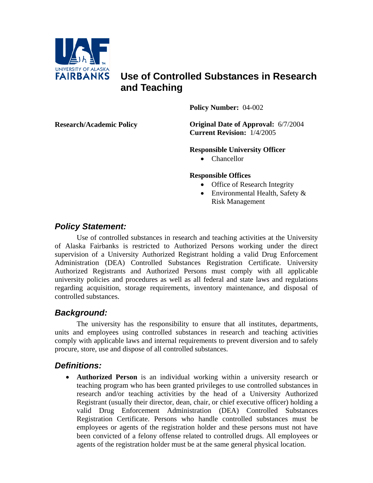

# **Use of Controlled Substances in Research and Teaching**

**Policy Number:** 04-002

**Research/Academic Policy Original Date of Approval:** 6/7/2004 **Current Revision:** 1/4/2005

#### **Responsible University Officer**

• Chancellor

#### **Responsible Offices**

- Office of Research Integrity
- Environmental Health, Safety & Risk Management

### *Policy Statement:*

Use of controlled substances in research and teaching activities at the University of Alaska Fairbanks is restricted to Authorized Persons working under the direct supervision of a University Authorized Registrant holding a valid Drug Enforcement Administration (DEA) Controlled Substances Registration Certificate. University Authorized Registrants and Authorized Persons must comply with all applicable university policies and procedures as well as all federal and state laws and regulations regarding acquisition, storage requirements, inventory maintenance, and disposal of controlled substances.

### *Background:*

The university has the responsibility to ensure that all institutes, departments, units and employees using controlled substances in research and teaching activities comply with applicable laws and internal requirements to prevent diversion and to safely procure, store, use and dispose of all controlled substances.

### *Definitions:*

• **Authorized Person** is an individual working within a university research or teaching program who has been granted privileges to use controlled substances in research and/or teaching activities by the head of a University Authorized Registrant (usually their director, dean, chair, or chief executive officer) holding a valid Drug Enforcement Administration (DEA) Controlled Substances Registration Certificate. Persons who handle controlled substances must be employees or agents of the registration holder and these persons must not have been convicted of a felony offense related to controlled drugs. All employees or agents of the registration holder must be at the same general physical location.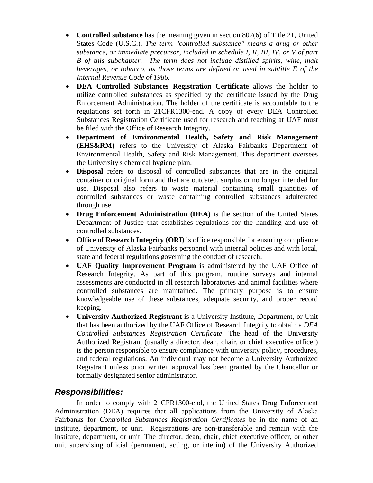- **Controlled substance** has the meaning given in section 802(6) of Title 21, United States Code (U.S.C.). *The term ''controlled substance'' means a drug or other substance, or immediate precursor, included in schedule I, II, III, IV, or V of part B of this subchapter. The term does not include distilled spirits, wine, malt beverages, or tobacco, as those terms are defined or used in subtitle E of the Internal Revenue Code of 1986.*
- **DEA Controlled Substances Registration Certificate** allows the holder to utilize controlled substances as specified by the certificate issued by the Drug Enforcement Administration. The holder of the certificate is accountable to the regulations set forth in 21CFR1300-end. A copy of every DEA Controlled Substances Registration Certificate used for research and teaching at UAF must be filed with the Office of Research Integrity.
- **Department of Environmental Health, Safety and Risk Management (EHS&RM)** refers to the University of Alaska Fairbanks Department of Environmental Health, Safety and Risk Management. This department oversees the University's chemical hygiene plan.
- **Disposal** refers to disposal of controlled substances that are in the original container or original form and that are outdated, surplus or no longer intended for use. Disposal also refers to waste material containing small quantities of controlled substances or waste containing controlled substances adulterated through use.
- **Drug Enforcement Administration (DEA)** is the section of the United States Department of Justice that establishes regulations for the handling and use of controlled substances.
- **Office of Research Integrity (ORI)** is office responsible for ensuring compliance of University of Alaska Fairbanks personnel with internal policies and with local, state and federal regulations governing the conduct of research.
- **UAF Quality Improvement Program** is administered by the UAF Office of Research Integrity. As part of this program, routine surveys and internal assessments are conducted in all research laboratories and animal facilities where controlled substances are maintained. The primary purpose is to ensure knowledgeable use of these substances, adequate security, and proper record keeping.
- **University Authorized Registrant** is a University Institute, Department, or Unit that has been authorized by the UAF Office of Research Integrity to obtain a *DEA Controlled Substances Registration Certificate*. The head of the University Authorized Registrant (usually a director, dean, chair, or chief executive officer) is the person responsible to ensure compliance with university policy, procedures, and federal regulations. An individual may not become a University Authorized Registrant unless prior written approval has been granted by the Chancellor or formally designated senior administrator.

### *Responsibilities:*

In order to comply with 21CFR1300-end, the United States Drug Enforcement Administration (DEA) requires that all applications from the University of Alaska Fairbanks for *Controlled Substances Registration Certificates* be in the name of an institute, department, or unit. Registrations are non-transferable and remain with the institute, department, or unit. The director, dean, chair, chief executive officer, or other unit supervising official (permanent, acting, or interim) of the University Authorized